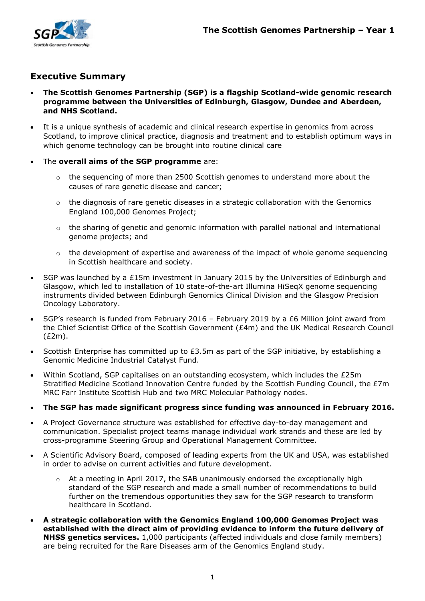

# **Executive Summary**

- **The Scottish Genomes Partnership (SGP) is a flagship Scotland-wide genomic research programme between the Universities of Edinburgh, Glasgow, Dundee and Aberdeen, and NHS Scotland.**
- It is a unique synthesis of academic and clinical research expertise in genomics from across Scotland, to improve clinical practice, diagnosis and treatment and to establish optimum ways in which genome technology can be brought into routine clinical care
- The **overall aims of the SGP programme** are:
	- o the sequencing of more than 2500 Scottish genomes to understand more about the causes of rare genetic disease and cancer;
	- $\circ$  the diagnosis of rare genetic diseases in a strategic collaboration with the Genomics England 100,000 Genomes Project;
	- $\circ$  the sharing of genetic and genomic information with parallel national and international genome projects; and
	- $\circ$  the development of expertise and awareness of the impact of whole genome sequencing in Scottish healthcare and society.
- SGP was launched by a £15m investment in January 2015 by the Universities of Edinburgh and Glasgow, which led to installation of 10 state-of-the-art Illumina HiSeqX genome sequencing instruments divided between Edinburgh Genomics Clinical Division and the Glasgow Precision Oncology Laboratory.
- SGP's research is funded from February 2016 February 2019 by a £6 Million joint award from the Chief Scientist Office of the Scottish Government (£4m) and the UK Medical Research Council (£2m).
- Scottish Enterprise has committed up to £3.5m as part of the SGP initiative, by establishing a Genomic Medicine Industrial Catalyst Fund.
- Within Scotland, SGP capitalises on an outstanding ecosystem, which includes the £25m Stratified Medicine Scotland Innovation Centre funded by the Scottish Funding Council, the £7m MRC Farr Institute Scottish Hub and two MRC Molecular Pathology nodes.
- **The SGP has made significant progress since funding was announced in February 2016.**
- A Project Governance structure was established for effective day-to-day management and communication. Specialist project teams manage individual work strands and these are led by cross-programme Steering Group and Operational Management Committee.
- A Scientific Advisory Board, composed of leading experts from the UK and USA, was established in order to advise on current activities and future development.
	- $\circ$  At a meeting in April 2017, the SAB unanimously endorsed the exceptionally high standard of the SGP research and made a small number of recommendations to build further on the tremendous opportunities they saw for the SGP research to transform healthcare in Scotland.
- **A strategic collaboration with the Genomics England 100,000 Genomes Project was established with the direct aim of providing evidence to inform the future delivery of NHSS genetics services.** 1,000 participants (affected individuals and close family members) are being recruited for the Rare Diseases arm of the Genomics England study.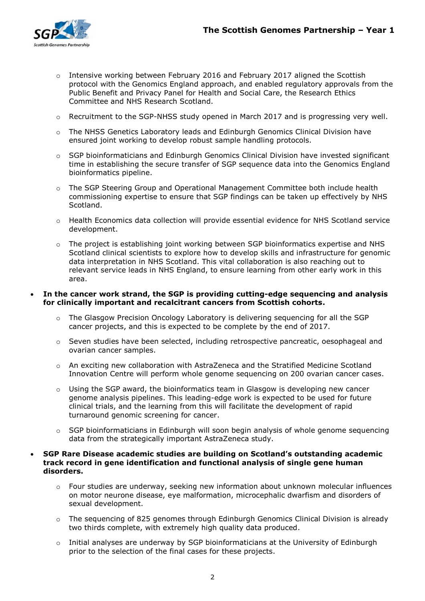

- $\circ$  Intensive working between February 2016 and February 2017 aligned the Scottish protocol with the Genomics England approach, and enabled regulatory approvals from the Public Benefit and Privacy Panel for Health and Social Care, the Research Ethics Committee and NHS Research Scotland.
- $\circ$  Recruitment to the SGP-NHSS study opened in March 2017 and is progressing very well.
- o The NHSS Genetics Laboratory leads and Edinburgh Genomics Clinical Division have ensured joint working to develop robust sample handling protocols.
- $\circ$  SGP bioinformaticians and Edinburgh Genomics Clinical Division have invested significant time in establishing the secure transfer of SGP sequence data into the Genomics England bioinformatics pipeline.
- $\circ$  The SGP Steering Group and Operational Management Committee both include health commissioning expertise to ensure that SGP findings can be taken up effectively by NHS **Scotland**
- $\circ$  Health Economics data collection will provide essential evidence for NHS Scotland service development.
- $\circ$  The project is establishing joint working between SGP bioinformatics expertise and NHS Scotland clinical scientists to explore how to develop skills and infrastructure for genomic data interpretation in NHS Scotland. This vital collaboration is also reaching out to relevant service leads in NHS England, to ensure learning from other early work in this area.

## **In the cancer work strand, the SGP is providing cutting-edge sequencing and analysis for clinically important and recalcitrant cancers from Scottish cohorts.**

- The Glasgow Precision Oncology Laboratory is delivering sequencing for all the SGP cancer projects, and this is expected to be complete by the end of 2017.
- o Seven studies have been selected, including retrospective pancreatic, oesophageal and ovarian cancer samples.
- o An exciting new collaboration with AstraZeneca and the Stratified Medicine Scotland Innovation Centre will perform whole genome sequencing on 200 ovarian cancer cases.
- $\circ$  Using the SGP award, the bioinformatics team in Glasgow is developing new cancer genome analysis pipelines. This leading-edge work is expected to be used for future clinical trials, and the learning from this will facilitate the development of rapid turnaround genomic screening for cancer.
- $\circ$  SGP bioinformaticians in Edinburgh will soon begin analysis of whole genome sequencing data from the strategically important AstraZeneca study.

# **SGP Rare Disease academic studies are building on Scotland's outstanding academic track record in gene identification and functional analysis of single gene human disorders.**

- $\circ$  Four studies are underway, seeking new information about unknown molecular influences on motor neurone disease, eye malformation, microcephalic dwarfism and disorders of sexual development.
- $\circ$  The sequencing of 825 genomes through Edinburgh Genomics Clinical Division is already two thirds complete, with extremely high quality data produced.
- $\circ$  Initial analyses are underway by SGP bioinformaticians at the University of Edinburgh prior to the selection of the final cases for these projects.